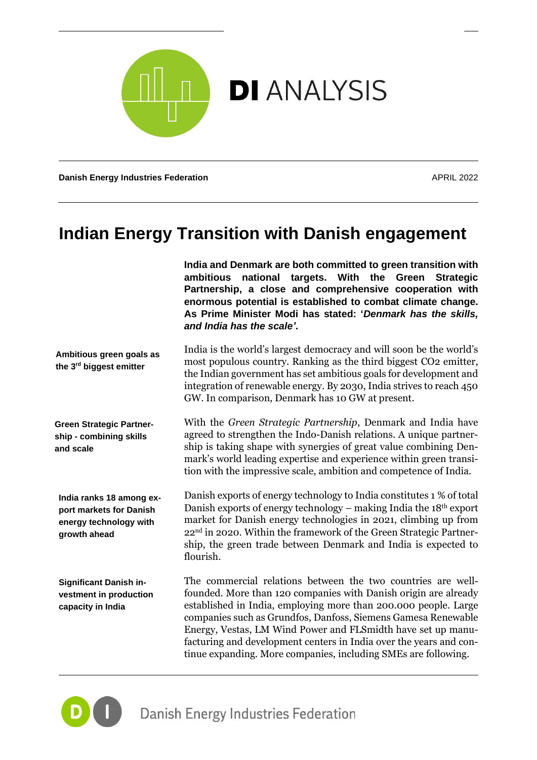

**Danish Energy Industries Federation** APRIL 2022

# **Indian Energy Transition with Danish engagement**

**India and Denmark are both committed to green transition with ambitious national targets. With the Green Strategic Partnership, a close and comprehensive cooperation with enormous potential is established to combat climate change. As Prime Minister Modi has stated: '***Denmark has the skills, and India has the scale'***.**

**Ambitious green goals as the 3 rd biggest emitter**

**Green Strategic Partnership - combining skills and scale**

**India ranks 18 among export markets for Danish energy technology with growth ahead**

**Significant Danish investment in production capacity in India**

India is the world's largest democracy and will soon be the world's most populous country. Ranking as the third biggest CO2 emitter, the Indian government has set ambitious goals for development and integration of renewable energy. By 2030, India strives to reach 450 GW. In comparison, Denmark has 10 GW at present.

With the *Green Strategic Partnership*, Denmark and India have agreed to strengthen the Indo-Danish relations. A unique partnership is taking shape with synergies of great value combining Denmark's world leading expertise and experience within green transition with the impressive scale, ambition and competence of India.

Danish exports of energy technology to India constitutes 1 % of total Danish exports of energy technology – making India the 18th export market for Danish energy technologies in 2021, climbing up from 22nd in 2020. Within the framework of the Green Strategic Partnership, the green trade between Denmark and India is expected to flourish.

The commercial relations between the two countries are wellfounded. More than 120 companies with Danish origin are already established in India, employing more than 200.000 people. Large companies such as Grundfos, Danfoss, Siemens Gamesa Renewable Energy, Vestas, LM Wind Power and FLSmidth have set up manufacturing and development centers in India over the years and continue expanding. More companies, including SMEs are following.

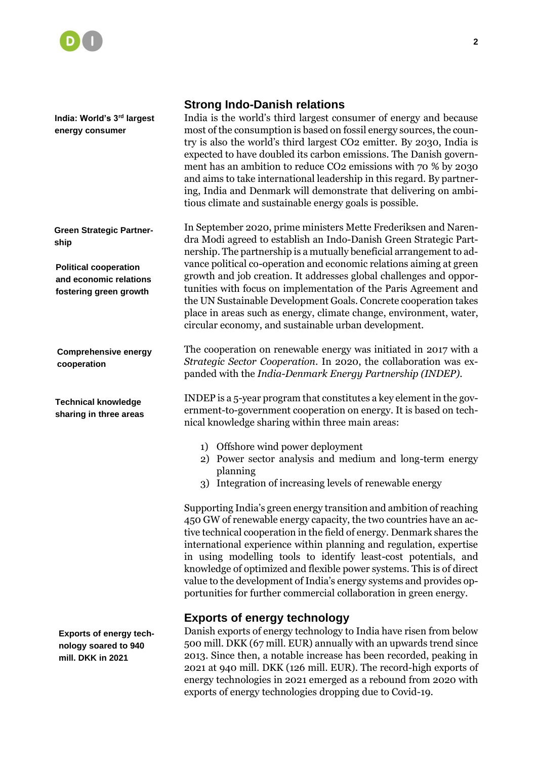

**India: World's 3rd largest energy consumer**

**Green Strategic Partnership**

**Political cooperation and economic relations fostering green growth**

**Comprehensive energy cooperation**

**Technical knowledge sharing in three areas**

**Exports of energy technology soared to 940 mill. DKK in 2021**

#### **Strong Indo-Danish relations**

India is the world's third largest consumer of energy and because most of the consumption is based on fossil energy sources, the country is also the world's third largest CO2 emitter. By 2030, India is expected to have doubled its carbon emissions. The Danish government has an ambition to reduce CO2 emissions with 70 % by 2030 and aims to take international leadership in this regard. By partnering, India and Denmark will demonstrate that delivering on ambitious climate and sustainable energy goals is possible.

In September 2020, prime ministers Mette Frederiksen and Narendra Modi agreed to establish an Indo-Danish Green Strategic Partnership. The partnership is a mutually beneficial arrangement to advance political co-operation and economic relations aiming at green growth and job creation. It addresses global challenges and opportunities with focus on implementation of the Paris Agreement and the UN Sustainable Development Goals. Concrete cooperation takes place in areas such as energy, climate change, environment, water, circular economy, and sustainable urban development.

The cooperation on renewable energy was initiated in 2017 with a *Strategic Sector Cooperation*. In 2020, the collaboration was expanded with the *India-Denmark Energy Partnership (INDEP)*.

INDEP is a 5-year program that constitutes a key element in the government-to-government cooperation on energy. It is based on technical knowledge sharing within three main areas:

- 1) Offshore wind power deployment
- 2) Power sector analysis and medium and long-term energy planning
- 3) Integration of increasing levels of renewable energy

Supporting India's green energy transition and ambition of reaching 450 GW of renewable energy capacity, the two countries have an active technical cooperation in the field of energy. Denmark shares the international experience within planning and regulation, expertise in using modelling tools to identify least-cost potentials, and knowledge of optimized and flexible power systems. This is of direct value to the development of India's energy systems and provides opportunities for further commercial collaboration in green energy.

#### **Exports of energy technology**

Danish exports of energy technology to India have risen from below 500 mill. DKK (67 mill. EUR) annually with an upwards trend since 2013. Since then, a notable increase has been recorded, peaking in 2021 at 940 mill. DKK (126 mill. EUR). The record-high exports of energy technologies in 2021 emerged as a rebound from 2020 with exports of energy technologies dropping due to Covid-19.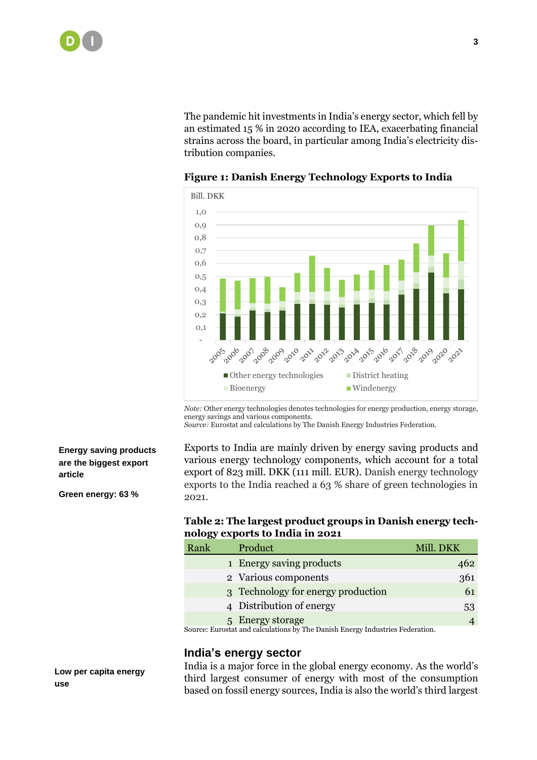The pandemic hit investments in India's energy sector, which fell by an estimated 15 % in 2020 according to IEA, exacerbating financial strains across the board, in particular among India's electricity distribution companies.



**Figure 1: Danish Energy Technology Exports to India**

*Note:* Other energy technologies denotes technologies for energy production, energy storage, energy savings and various components.

*Source:* Eurostat and calculations by The Danish Energy Industries Federation.

#### **Energy saving products are the biggest export article**

**Green energy: 63 %**

## Exports to India are mainly driven by energy saving products and various energy technology components, which account for a total export of 823 mill. DKK (111 mill. EUR). Danish energy technology exports to the India reached a 63 % share of green technologies in 2021.

# **Table 2: The largest product groups in Danish energy technology exports to India in 2021**

| Rank                                                                          | Product                            | Mill. DKK |
|-------------------------------------------------------------------------------|------------------------------------|-----------|
|                                                                               | 1 Energy saving products           | 462       |
|                                                                               | 2 Various components               | 361       |
|                                                                               | 3 Technology for energy production | 61        |
|                                                                               | 4 Distribution of energy           | 53        |
|                                                                               | 5 Energy storage                   |           |
| Source: Eurostat and calculations by The Danish Energy Industries Federation. |                                    |           |

# **India's energy sector**

India is a major force in the global energy economy. As the world's third largest consumer of energy with most of the consumption based on fossil energy sources, India is also the world's third largest

**Low per capita energy use**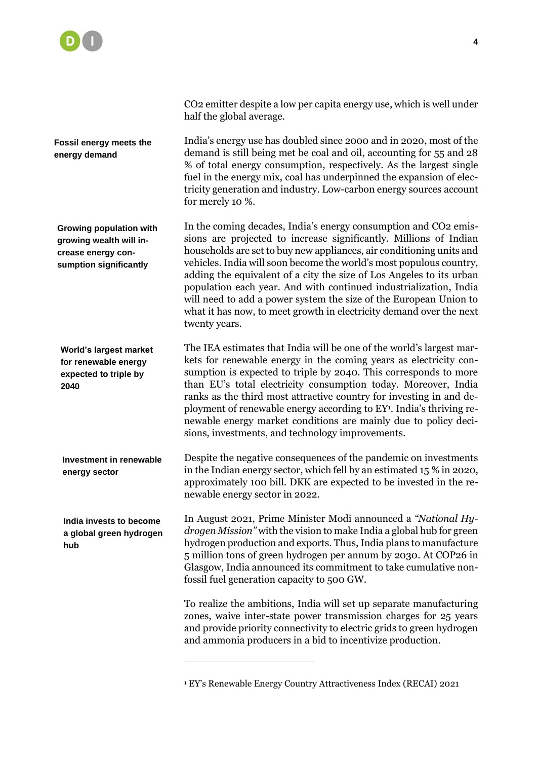

CO2 emitter despite a low per capita energy use, which is well under half the global average.

India's energy use has doubled since 2000 and in 2020, most of the demand is still being met be coal and oil, accounting for 55 and 28 % of total energy consumption, respectively. As the largest single fuel in the energy mix, coal has underpinned the expansion of electricity generation and industry. Low-carbon energy sources account for merely 10 %.

In the coming decades, India's energy consumption and CO2 emissions are projected to increase significantly. Millions of Indian households are set to buy new appliances, air conditioning units and vehicles. India will soon become the world's most populous country, adding the equivalent of a city the size of Los Angeles to its urban population each year. And with continued industrialization, India will need to add a power system the size of the European Union to what it has now, to meet growth in electricity demand over the next twenty years.

The IEA estimates that India will be one of the world's largest markets for renewable energy in the coming years as electricity consumption is expected to triple by 2040. This corresponds to more than EU's total electricity consumption today. Moreover, India ranks as the third most attractive country for investing in and deployment of renewable energy according to EY<sup>1</sup>. India's thriving renewable energy market conditions are mainly due to policy decisions, investments, and technology improvements.

Despite the negative consequences of the pandemic on investments in the Indian energy sector, which fell by an estimated 15 % in 2020, approximately 100 bill. DKK are expected to be invested in the renewable energy sector in 2022.

In August 2021, Prime Minister Modi announced a *"National Hydrogen Mission"* with the vision to make India a global hub for green hydrogen production and exports. Thus, India plans to manufacture 5 million tons of green hydrogen per annum by 2030. At COP26 in Glasgow, India announced its commitment to take cumulative nonfossil fuel generation capacity to 500 GW.

To realize the ambitions, India will set up separate manufacturing zones, waive inter-state power transmission charges for 25 years and provide priority connectivity to electric grids to green hydrogen and ammonia producers in a bid to incentivize production.

**Fossil energy meets the** 

**energy demand**

**Growing population with growing wealth will increase energy consumption significantly**

**World's largest market for renewable energy expected to triple by 2040**

**Investment in renewable energy sector**

**India invests to become a global green hydrogen hub**

<sup>1</sup> EY's Renewable Energy Country Attractiveness Index (RECAI) 2021